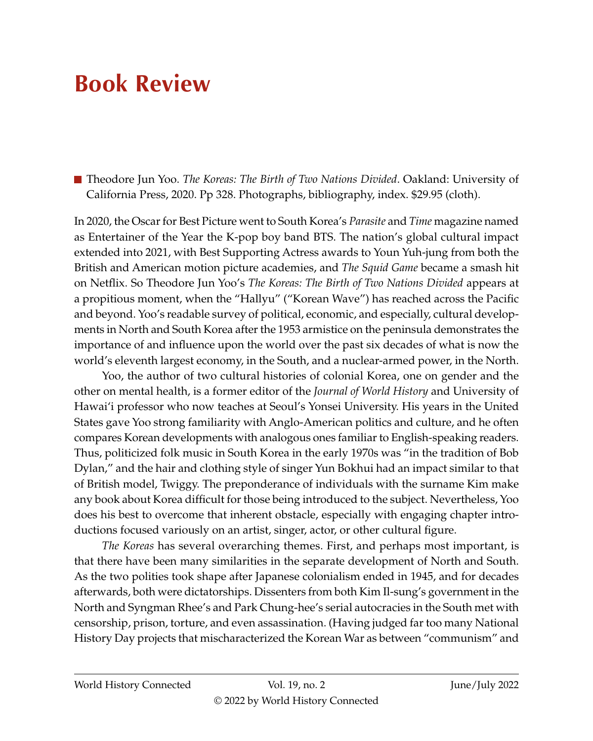## **Book Review**

Theodore Jun Yoo. *The Koreas: The Birth of Two Nations Divided*. Oakland: University of California Press, 2020. Pp 328. Photographs, bibliography, index. \$29.95 (cloth).

In 2020, the Oscar for Best Picture went to South Korea's *Parasite* and *Time* magazine named as Entertainer of the Year the K-pop boy band BTS. The nation's global cultural impact extended into 2021, with Best Supporting Actress awards to Youn Yuh-jung from both the British and American motion picture academies, and *The Squid Game* became a smash hit on Netflix. So Theodore Jun Yoo's *The Koreas: The Birth of Two Nations Divided* appears at a propitious moment, when the "Hallyu" ("Korean Wave") has reached across the Pacific and beyond. Yoo's readable survey of political, economic, and especially, cultural developments in North and South Korea after the 1953 armistice on the peninsula demonstrates the importance of and influence upon the world over the past six decades of what is now the world's eleventh largest economy, in the South, and a nuclear-armed power, in the North.

Yoo, the author of two cultural histories of colonial Korea, one on gender and the other on mental health, is a former editor of the *Journal of World History* and University of Hawai'i professor who now teaches at Seoul's Yonsei University. His years in the United States gave Yoo strong familiarity with Anglo-American politics and culture, and he often compares Korean developments with analogous ones familiar to English-speaking readers. Thus, politicized folk music in South Korea in the early 1970s was "in the tradition of Bob Dylan," and the hair and clothing style of singer Yun Bokhui had an impact similar to that of British model, Twiggy. The preponderance of individuals with the surname Kim make any book about Korea difficult for those being introduced to the subject. Nevertheless, Yoo does his best to overcome that inherent obstacle, especially with engaging chapter introductions focused variously on an artist, singer, actor, or other cultural figure.

*The Koreas* has several overarching themes. First, and perhaps most important, is that there have been many similarities in the separate development of North and South. As the two polities took shape after Japanese colonialism ended in 1945, and for decades afterwards, both were dictatorships. Dissenters from both Kim Il-sung's government in the North and Syngman Rhee's and Park Chung-hee's serial autocracies in the South met with censorship, prison, torture, and even assassination. (Having judged far too many National History Day projects that mischaracterized the Korean War as between "communism" and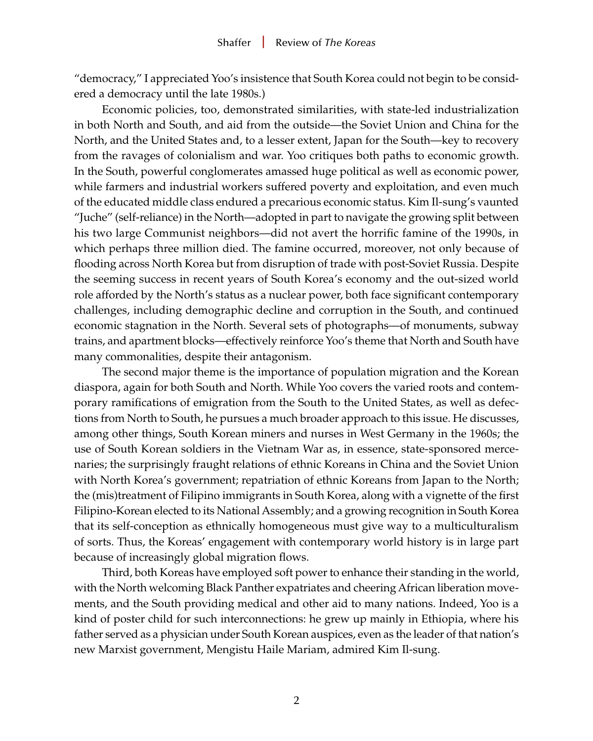"democracy," I appreciated Yoo's insistence that South Korea could not begin to be considered a democracy until the late 1980s.)

Economic policies, too, demonstrated similarities, with state-led industrialization in both North and South, and aid from the outside—the Soviet Union and China for the North, and the United States and, to a lesser extent, Japan for the South—key to recovery from the ravages of colonialism and war. Yoo critiques both paths to economic growth. In the South, powerful conglomerates amassed huge political as well as economic power, while farmers and industrial workers suffered poverty and exploitation, and even much of the educated middle class endured a precarious economic status. Kim Il-sung's vaunted "Juche" (self-reliance) in the North—adopted in part to navigate the growing split between his two large Communist neighbors—did not avert the horrific famine of the 1990s, in which perhaps three million died. The famine occurred, moreover, not only because of flooding across North Korea but from disruption of trade with post-Soviet Russia. Despite the seeming success in recent years of South Korea's economy and the out-sized world role afforded by the North's status as a nuclear power, both face significant contemporary challenges, including demographic decline and corruption in the South, and continued economic stagnation in the North. Several sets of photographs—of monuments, subway trains, and apartment blocks—effectively reinforce Yoo's theme that North and South have many commonalities, despite their antagonism.

The second major theme is the importance of population migration and the Korean diaspora, again for both South and North. While Yoo covers the varied roots and contemporary ramifications of emigration from the South to the United States, as well as defections from North to South, he pursues a much broader approach to this issue. He discusses, among other things, South Korean miners and nurses in West Germany in the 1960s; the use of South Korean soldiers in the Vietnam War as, in essence, state-sponsored mercenaries; the surprisingly fraught relations of ethnic Koreans in China and the Soviet Union with North Korea's government; repatriation of ethnic Koreans from Japan to the North; the (mis)treatment of Filipino immigrants in South Korea, along with a vignette of the first Filipino-Korean elected to its National Assembly; and a growing recognition in South Korea that its self-conception as ethnically homogeneous must give way to a multiculturalism of sorts. Thus, the Koreas' engagement with contemporary world history is in large part because of increasingly global migration flows.

Third, both Koreas have employed soft power to enhance their standing in the world, with the North welcoming Black Panther expatriates and cheering African liberation movements, and the South providing medical and other aid to many nations. Indeed, Yoo is a kind of poster child for such interconnections: he grew up mainly in Ethiopia, where his father served as a physician under South Korean auspices, even as the leader of that nation's new Marxist government, Mengistu Haile Mariam, admired Kim Il-sung.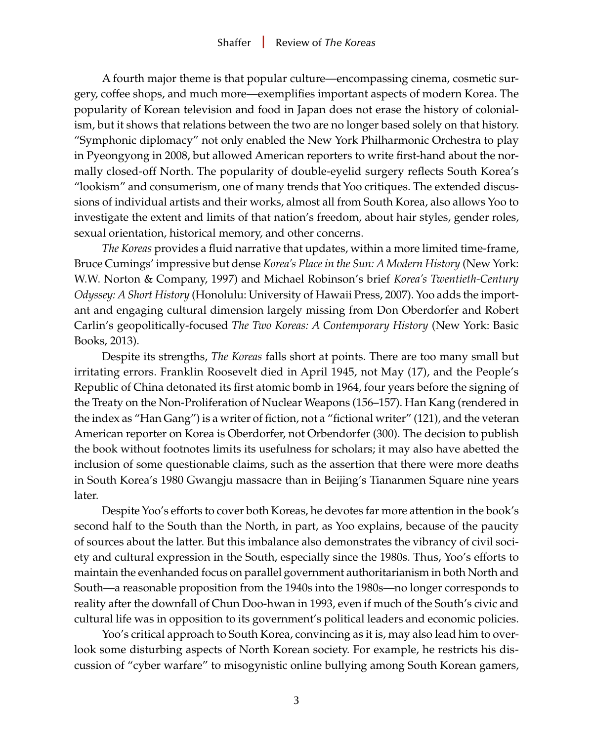A fourth major theme is that popular culture—encompassing cinema, cosmetic surgery, coffee shops, and much more—exemplifies important aspects of modern Korea. The popularity of Korean television and food in Japan does not erase the history of colonialism, but it shows that relations between the two are no longer based solely on that history. "Symphonic diplomacy" not only enabled the New York Philharmonic Orchestra to play in Pyeongyong in 2008, but allowed American reporters to write first-hand about the normally closed-off North. The popularity of double-eyelid surgery reflects South Korea's "lookism" and consumerism, one of many trends that Yoo critiques. The extended discussions of individual artists and their works, almost all from South Korea, also allows Yoo to investigate the extent and limits of that nation's freedom, about hair styles, gender roles, sexual orientation, historical memory, and other concerns.

*The Koreas* provides a fluid narrative that updates, within a more limited time-frame, Bruce Cumings' impressive but dense *Korea's Place in the Sun: A Modern History* (New York: W.W. Norton & Company, 1997) and Michael Robinson's brief *Korea's Twentieth-Century Odyssey: A Short History* (Honolulu: University of Hawaii Press, 2007). Yoo adds the important and engaging cultural dimension largely missing from Don Oberdorfer and Robert Carlin's geopolitically-focused *The Two Koreas: A Contemporary History* (New York: Basic Books, 2013).

Despite its strengths, *The Koreas* falls short at points. There are too many small but irritating errors. Franklin Roosevelt died in April 1945, not May (17), and the People's Republic of China detonated its first atomic bomb in 1964, four years before the signing of the Treaty on the Non-Proliferation of Nuclear Weapons (156–157). Han Kang (rendered in the index as "Han Gang") is a writer of fiction, not a "fictional writer" (121), and the veteran American reporter on Korea is Oberdorfer, not Orbendorfer (300). The decision to publish the book without footnotes limits its usefulness for scholars; it may also have abetted the inclusion of some questionable claims, such as the assertion that there were more deaths in South Korea's 1980 Gwangju massacre than in Beijing's Tiananmen Square nine years later.

Despite Yoo's efforts to cover both Koreas, he devotes far more attention in the book's second half to the South than the North, in part, as Yoo explains, because of the paucity of sources about the latter. But this imbalance also demonstrates the vibrancy of civil society and cultural expression in the South, especially since the 1980s. Thus, Yoo's efforts to maintain the evenhanded focus on parallel government authoritarianism in both North and South—a reasonable proposition from the 1940s into the 1980s—no longer corresponds to reality after the downfall of Chun Doo-hwan in 1993, even if much of the South's civic and cultural life was in opposition to its government's political leaders and economic policies.

Yoo's critical approach to South Korea, convincing as it is, may also lead him to overlook some disturbing aspects of North Korean society. For example, he restricts his discussion of "cyber warfare" to misogynistic online bullying among South Korean gamers,